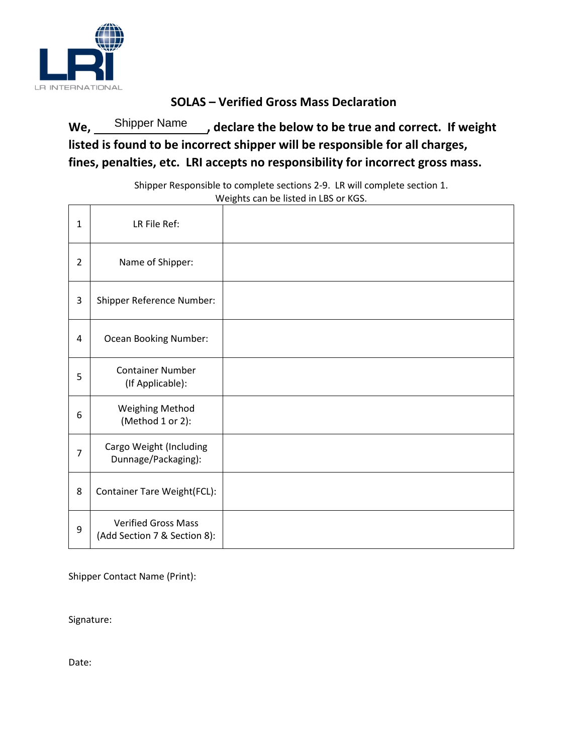

## **SOLAS – Verified Gross Mass Declaration**

We, Shipper Name declare the below to be true and correct. If weight **listed is found to be incorrect shipper will be responsible for all charges, fines, penalties, etc. LRI accepts no responsibility for incorrect gross mass.**  Shipper Name

> Shipper Responsible to complete sections 2-9. LR will complete section 1. Weights can be listed in LBS or KGS.

| $\mathbf{1}$   | LR File Ref:                                               |  |
|----------------|------------------------------------------------------------|--|
| 2              | Name of Shipper:                                           |  |
| 3              | Shipper Reference Number:                                  |  |
| 4              | Ocean Booking Number:                                      |  |
| 5              | <b>Container Number</b><br>(If Applicable):                |  |
| 6              | <b>Weighing Method</b><br>(Method 1 or 2):                 |  |
| $\overline{7}$ | Cargo Weight (Including<br>Dunnage/Packaging):             |  |
| 8              | Container Tare Weight(FCL):                                |  |
| 9              | <b>Verified Gross Mass</b><br>(Add Section 7 & Section 8): |  |

Shipper Contact Name (Print):

Signature:

Date: